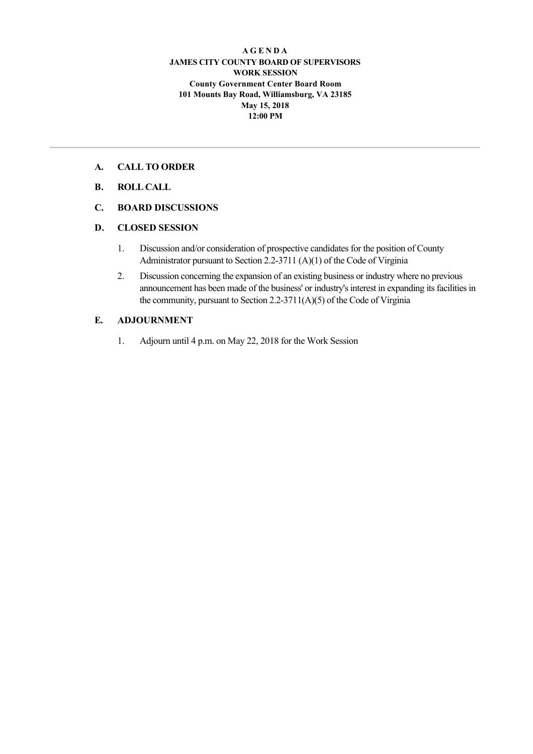#### **A G E N D A JAMES CITY COUNTY BOARD OF SUPERVISORS WORK SESSION County Government Center Board Room 101 Mounts Bay Road, Williamsburg, VA 23185 May 15, 2018 12:00 PM**

#### **A. CALL TO ORDER**

## **B. ROLL CALL**

# **C. BOARD DISCUSSIONS**

#### **D. CLOSED SESSION**

- 1. Discussion and/or consideration of prospective candidates for the position of County Administrator pursuant to Section 2.2-3711 (A)(1) of the Code of Virginia
- 2. Discussion concerning the expansion of an existing business or industry where no previous announcement has been made of the business' or industry's interest in expanding its facilities in the community, pursuant to Section 2.2-3711(A)(5) of the Code of Virginia

# **E. ADJOURNMENT**

1. Adjourn until 4 p.m. on May 22, 2018 for the Work Session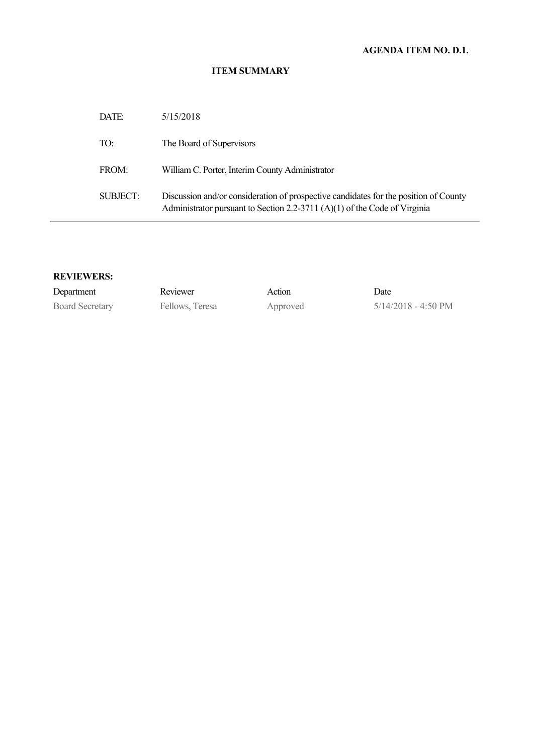# **AGENDA ITEM NO. D.1.**

#### **ITEM SUMMARY**

| DATE:    | 5/15/2018                                                                                                                                                         |
|----------|-------------------------------------------------------------------------------------------------------------------------------------------------------------------|
| TO:      | The Board of Supervisors                                                                                                                                          |
| FROM:    | William C. Porter, Interim County Administrator                                                                                                                   |
| SUBJECT: | Discussion and/or consideration of prospective candidates for the position of County<br>Administrator pursuant to Section 2.2-3711 (A)(1) of the Code of Virginia |

## **REVIEWERS:**

| Department             | Reviewer        | Action   | Date                          |
|------------------------|-----------------|----------|-------------------------------|
| <b>Board Secretary</b> | Fellows, Teresa | Approved | $5/14/2018 - 4:50 \text{ PM}$ |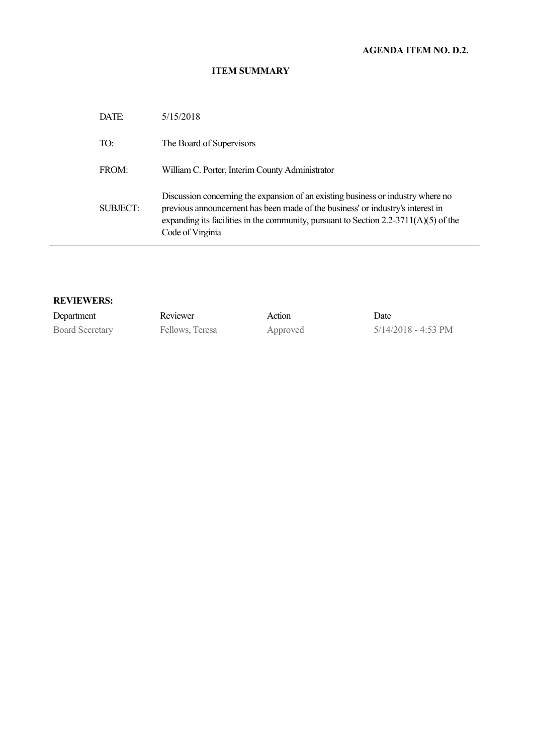# **AGENDA ITEM NO. D.2.**

#### **ITEM SUMMARY**

| DATE:           | 5/15/2018                                                                                                                                                                                                                                                                          |
|-----------------|------------------------------------------------------------------------------------------------------------------------------------------------------------------------------------------------------------------------------------------------------------------------------------|
| TO:             | The Board of Supervisors                                                                                                                                                                                                                                                           |
| FROM:           | William C. Porter, Interim County Administrator                                                                                                                                                                                                                                    |
| <b>SUBJECT:</b> | Discussion concerning the expansion of an existing business or industry where no<br>previous announcement has been made of the business' or industry's interest in<br>expanding its facilities in the community, pursuant to Section $2.2\n-3711(A)(5)$ of the<br>Code of Virginia |

## **REVIEWERS:**

| Department             | Reviewer        | Action   | Date                          |
|------------------------|-----------------|----------|-------------------------------|
| <b>Board Secretary</b> | Fellows, Teresa | Approved | $5/14/2018 - 4:53 \text{ PM}$ |